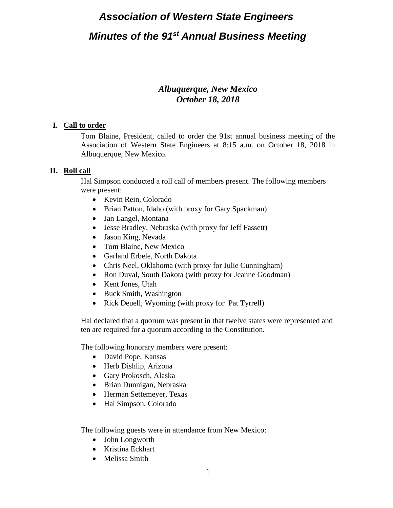# *Association of Western State Engineers*

## *Minutes of the 91st Annual Business Meeting*

## *Albuquerque, New Mexico October 18, 2018*

#### **I. Call to order**

Tom Blaine, President, called to order the 91st annual business meeting of the Association of Western State Engineers at 8:15 a.m. on October 18, 2018 in Albuquerque, New Mexico.

#### **II. Roll call**

Hal Simpson conducted a roll call of members present. The following members were present:

- Kevin Rein, Colorado
- Brian Patton, Idaho (with proxy for Gary Spackman)
- Jan Langel, Montana
- Jesse Bradley, Nebraska (with proxy for Jeff Fassett)
- Jason King, Nevada
- Tom Blaine, New Mexico
- Garland Erbele, North Dakota
- Chris Neel, Oklahoma (with proxy for Julie Cunningham)
- Ron Duval, South Dakota (with proxy for Jeanne Goodman)
- Kent Jones, Utah
- Buck Smith, Washington
- Rick Deuell, Wyoming (with proxy for Pat Tyrrell)

Hal declared that a quorum was present in that twelve states were represented and ten are required for a quorum according to the Constitution.

The following honorary members were present:

- David Pope, Kansas
- Herb Dishlip, Arizona
- Gary Prokosch, Alaska
- Brian Dunnigan, Nebraska
- Herman Settemeyer, Texas
- Hal Simpson, Colorado

The following guests were in attendance from New Mexico:

- John Longworth
- Kristina Eckhart
- Melissa Smith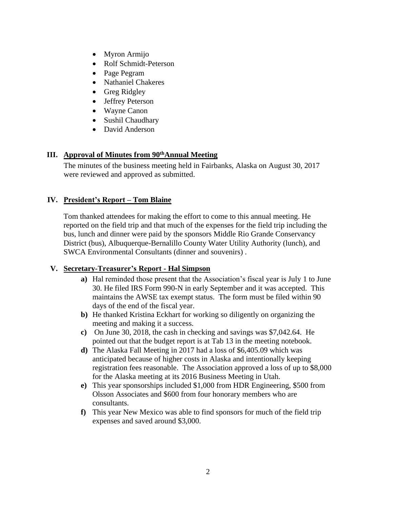- Myron Armijo
- Rolf Schmidt-Peterson
- Page Pegram
- Nathaniel Chakeres
- Greg Ridgley
- Jeffrey Peterson
- Wayne Canon
- Sushil Chaudhary
- David Anderson

## **III. Approval of Minutes from 90thAnnual Meeting**

The minutes of the business meeting held in Fairbanks, Alaska on August 30, 2017 were reviewed and approved as submitted.

## **IV. President's Report – Tom Blaine**

Tom thanked attendees for making the effort to come to this annual meeting. He reported on the field trip and that much of the expenses for the field trip including the bus, lunch and dinner were paid by the sponsors Middle Rio Grande Conservancy District (bus), Albuquerque-Bernalillo County Water Utility Authority (lunch), and SWCA Environmental Consultants (dinner and souvenirs) .

## **V. Secretary-Treasurer's Report - Hal Simpson**

- **a)** Hal reminded those present that the Association's fiscal year is July 1 to June 30. He filed IRS Form 990-N in early September and it was accepted. This maintains the AWSE tax exempt status. The form must be filed within 90 days of the end of the fiscal year.
- **b)** He thanked Kristina Eckhart for working so diligently on organizing the meeting and making it a success.
- **c)** On June 30, 2018, the cash in checking and savings was \$7,042.64. He pointed out that the budget report is at Tab 13 in the meeting notebook.
- **d)** The Alaska Fall Meeting in 2017 had a loss of \$6,405.09 which was anticipated because of higher costs in Alaska and intentionally keeping registration fees reasonable. The Association approved a loss of up to \$8,000 for the Alaska meeting at its 2016 Business Meeting in Utah.
- **e)** This year sponsorships included \$1,000 from HDR Engineering, \$500 from Olsson Associates and \$600 from four honorary members who are consultants.
- **f)** This year New Mexico was able to find sponsors for much of the field trip expenses and saved around \$3,000.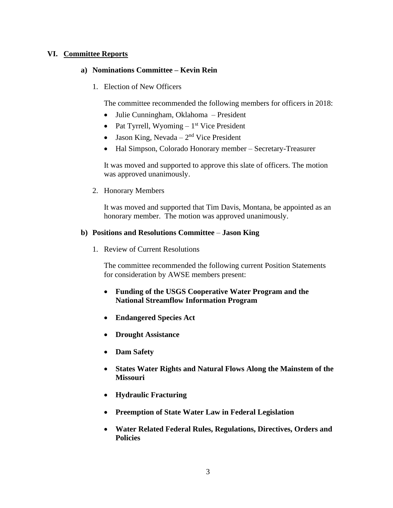#### **VI. Committee Reports**

#### **a) Nominations Committee – Kevin Rein**

1. Election of New Officers

The committee recommended the following members for officers in 2018:

- Julie Cunningham, Oklahoma President
- Pat Tyrrell, Wyoming  $-1<sup>st</sup>$  Vice President
- Jason King, Nevada  $2<sup>nd</sup>$  Vice President
- Hal Simpson, Colorado Honorary member Secretary-Treasurer

It was moved and supported to approve this slate of officers. The motion was approved unanimously.

2. Honorary Members

It was moved and supported that Tim Davis, Montana, be appointed as an honorary member. The motion was approved unanimously.

#### **b) Positions and Resolutions Committee** – **Jason King**

1. Review of Current Resolutions

The committee recommended the following current Position Statements for consideration by AWSE members present:

- **Funding of the USGS Cooperative Water Program and the National Streamflow Information Program**
- **Endangered Species Act**
- **Drought Assistance**
- **Dam Safety**
- **States Water Rights and Natural Flows Along the Mainstem of the Missouri**
- **Hydraulic Fracturing**
- **Preemption of State Water Law in Federal Legislation**
- **Water Related Federal Rules, Regulations, Directives, Orders and Policies**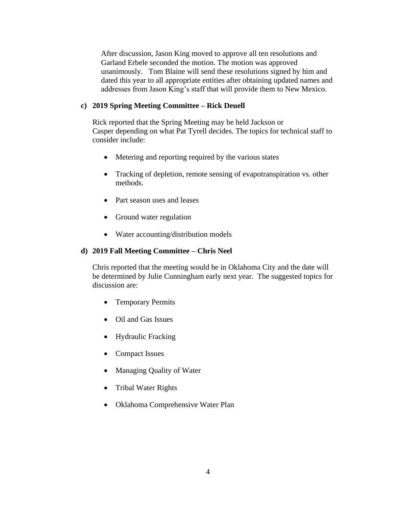After discussion, Jason King moved to approve all ten resolutions and Garland Erbele seconded the motion. The motion was approved unanimously. Tom Blaine will send these resolutions signed by him and dated this year to all appropriate entities after obtaining updated names and addresses from Jason King's staff that will provide them to New Mexico.

#### **c) 2019 Spring Meeting Committee – Rick Deuell**

Rick reported that the Spring Meeting may be held Jackson or Casper depending on what Pat Tyrell decides. The topics for technical staff to consider include:

- Metering and reporting required by the various states
- Tracking of depletion, remote sensing of evapotranspiration vs. other methods.
- Part season uses and leases
- Ground water regulation
- Water accounting/distribution models

#### **d) 2019 Fall Meeting Committee – Chris Neel**

Chris reported that the meeting would be in Oklahoma City and the date will be determined by Julie Cunningham early next year. The suggested topics for discussion are:

- Temporary Permits
- Oil and Gas Issues
- Hydraulic Fracking
- Compact Issues
- Managing Quality of Water
- Tribal Water Rights
- Oklahoma Comprehensive Water Plan